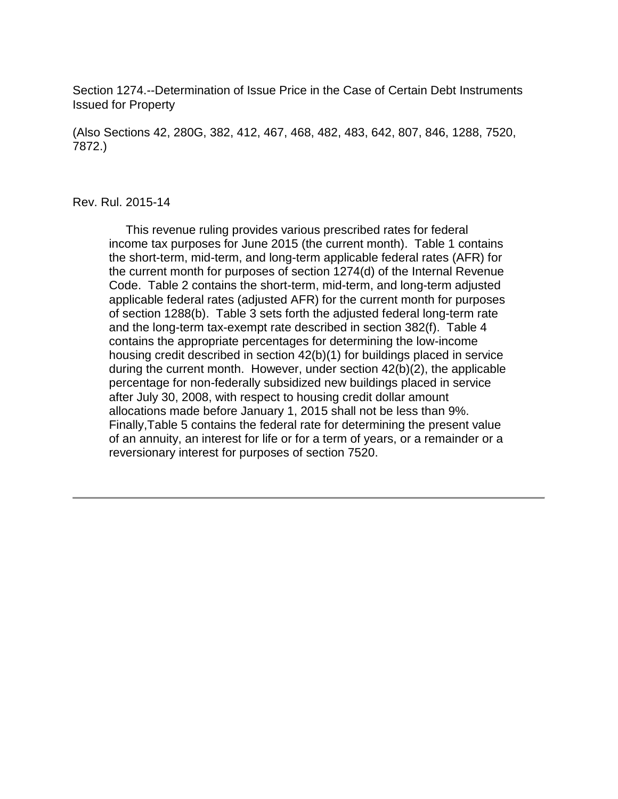Section 1274.--Determination of Issue Price in the Case of Certain Debt Instruments Issued for Property

(Also Sections 42, 280G, 382, 412, 467, 468, 482, 483, 642, 807, 846, 1288, 7520, 7872.)

#### Rev. Rul. 2015-14

 This revenue ruling provides various prescribed rates for federal income tax purposes for June 2015 (the current month). Table 1 contains the short-term, mid-term, and long-term applicable federal rates (AFR) for the current month for purposes of section 1274(d) of the Internal Revenue Code. Table 2 contains the short-term, mid-term, and long-term adjusted applicable federal rates (adjusted AFR) for the current month for purposes of section 1288(b). Table 3 sets forth the adjusted federal long-term rate and the long-term tax-exempt rate described in section 382(f). Table 4 contains the appropriate percentages for determining the low-income housing credit described in section 42(b)(1) for buildings placed in service during the current month. However, under section 42(b)(2), the applicable percentage for non-federally subsidized new buildings placed in service after July 30, 2008, with respect to housing credit dollar amount allocations made before January 1, 2015 shall not be less than 9%. Finally,Table 5 contains the federal rate for determining the present value of an annuity, an interest for life or for a term of years, or a remainder or a reversionary interest for purposes of section 7520.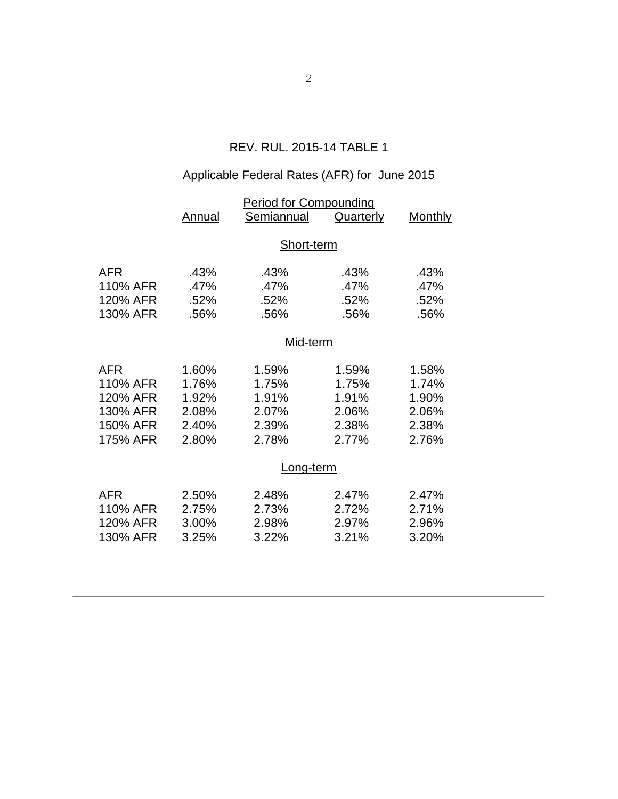## REV. RUL. 2015-14 TABLE 1

# Applicable Federal Rates (AFR) for June 2015

|            | <b>Period for Compounding</b> |            |           |                |  |  |
|------------|-------------------------------|------------|-----------|----------------|--|--|
|            | Annual                        | Semiannual | Quarterly | <b>Monthly</b> |  |  |
|            | Short-term                    |            |           |                |  |  |
|            |                               |            |           |                |  |  |
| <b>AFR</b> | .43%                          | .43%       | .43%      | .43%           |  |  |
| 110% AFR   | .47%                          | .47%       | .47%      | .47%           |  |  |
| 120% AFR   | .52%                          | .52%       | .52%      | .52%           |  |  |
| 130% AFR   | .56%                          | .56%       | .56%      | .56%           |  |  |
|            | Mid-term                      |            |           |                |  |  |
|            |                               |            |           |                |  |  |
| <b>AFR</b> | 1.60%                         | 1.59%      | 1.59%     | 1.58%          |  |  |
| 110% AFR   | 1.76%                         | 1.75%      | 1.75%     | 1.74%          |  |  |
| 120% AFR   | 1.92%                         | 1.91%      | 1.91%     | 1.90%          |  |  |
| 130% AFR   | 2.08%                         | 2.07%      | 2.06%     | 2.06%          |  |  |
| 150% AFR   | 2.40%                         | 2.39%      | 2.38%     | 2.38%          |  |  |
| 175% AFR   | 2.80%                         | 2.78%      | 2.77%     | 2.76%          |  |  |
|            |                               | Long-term  |           |                |  |  |
| <b>AFR</b> | 2.50%                         | 2.48%      | 2.47%     | 2.47%          |  |  |
| 110% AFR   | 2.75%                         | 2.73%      | 2.72%     | 2.71%          |  |  |
| 120% AFR   | 3.00%                         | 2.98%      | 2.97%     | 2.96%          |  |  |
| 130% AFR   | 3.25%                         | 3.22%      | 3.21%     | 3.20%          |  |  |
|            |                               |            |           |                |  |  |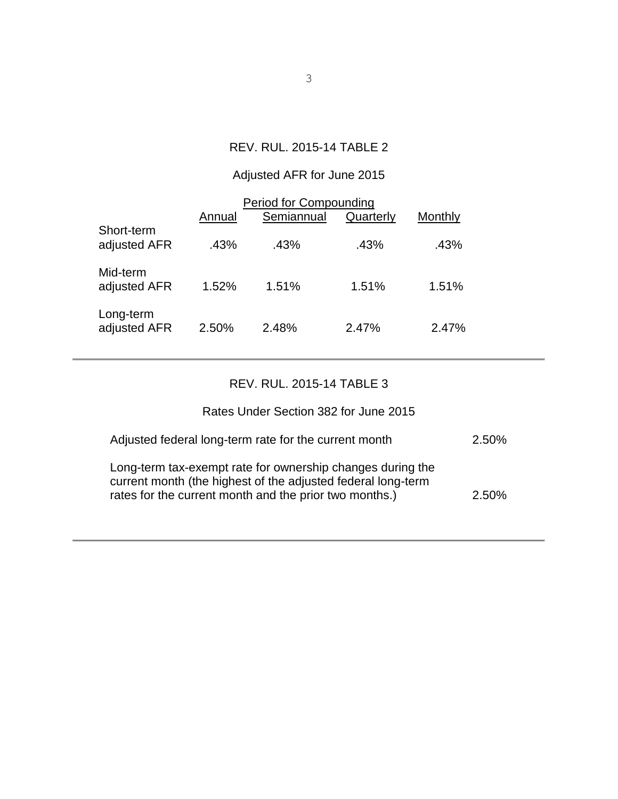## REV. RUL. 2015-14 TABLE 2

## Adjusted AFR for June 2015

| <b>Period for Compounding</b> |        |            |           |         |  |  |
|-------------------------------|--------|------------|-----------|---------|--|--|
|                               | Annual | Semiannual | Quarterly | Monthly |  |  |
| Short-term<br>adjusted AFR    | .43%   | .43%       | .43%      | .43%    |  |  |
| Mid-term<br>adjusted AFR      | 1.52%  | 1.51%      | 1.51%     | 1.51%   |  |  |
| Long-term<br>adjusted AFR     | 2.50%  | 2.48%      | 2.47%     | 2.47%   |  |  |

## REV. RUL. 2015-14 TABLE 3

## Rates Under Section 382 for June 2015

| Adjusted federal long-term rate for the current month                                                                                                                                | 2.50% |
|--------------------------------------------------------------------------------------------------------------------------------------------------------------------------------------|-------|
| Long-term tax-exempt rate for ownership changes during the<br>current month (the highest of the adjusted federal long-term<br>rates for the current month and the prior two months.) | 2.50% |